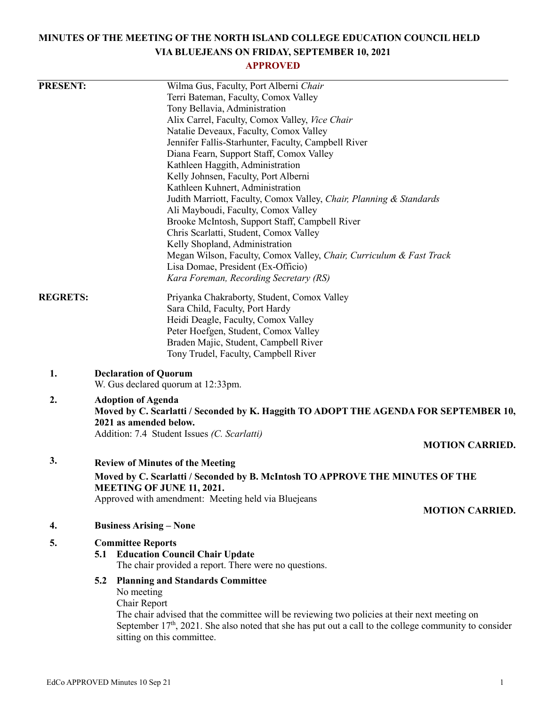# **MINUTES OF THE MEETING OF THE NORTH ISLAND COLLEGE EDUCATION COUNCIL HELD VIA BLUEJEANS ON FRIDAY, SEPTEMBER 10, 2021**

# **APPROVED**

| <b>PRESENT:</b> |                                                                               | Wilma Gus, Faculty, Port Alberni Chair                                                                             |  |
|-----------------|-------------------------------------------------------------------------------|--------------------------------------------------------------------------------------------------------------------|--|
|                 |                                                                               | Terri Bateman, Faculty, Comox Valley                                                                               |  |
|                 |                                                                               | Tony Bellavia, Administration                                                                                      |  |
|                 |                                                                               | Alix Carrel, Faculty, Comox Valley, Vice Chair                                                                     |  |
|                 |                                                                               | Natalie Deveaux, Faculty, Comox Valley                                                                             |  |
|                 |                                                                               | Jennifer Fallis-Starhunter, Faculty, Campbell River                                                                |  |
|                 |                                                                               | Diana Fearn, Support Staff, Comox Valley                                                                           |  |
|                 |                                                                               | Kathleen Haggith, Administration                                                                                   |  |
|                 |                                                                               | Kelly Johnsen, Faculty, Port Alberni                                                                               |  |
|                 |                                                                               | Kathleen Kuhnert, Administration                                                                                   |  |
|                 |                                                                               | Judith Marriott, Faculty, Comox Valley, Chair, Planning & Standards                                                |  |
|                 |                                                                               | Ali Mayboudi, Faculty, Comox Valley                                                                                |  |
|                 |                                                                               | Brooke McIntosh, Support Staff, Campbell River                                                                     |  |
|                 |                                                                               | Chris Scarlatti, Student, Comox Valley                                                                             |  |
|                 |                                                                               | Kelly Shopland, Administration                                                                                     |  |
|                 |                                                                               | Megan Wilson, Faculty, Comox Valley, Chair, Curriculum & Fast Track                                                |  |
|                 |                                                                               | Lisa Domae, President (Ex-Officio)                                                                                 |  |
|                 |                                                                               | Kara Foreman, Recording Secretary (RS)                                                                             |  |
| <b>REGRETS:</b> |                                                                               | Priyanka Chakraborty, Student, Comox Valley                                                                        |  |
|                 |                                                                               | Sara Child, Faculty, Port Hardy                                                                                    |  |
|                 |                                                                               | Heidi Deagle, Faculty, Comox Valley                                                                                |  |
|                 |                                                                               | Peter Hoefgen, Student, Comox Valley                                                                               |  |
|                 |                                                                               | Braden Majic, Student, Campbell River                                                                              |  |
|                 |                                                                               | Tony Trudel, Faculty, Campbell River                                                                               |  |
| 1.              |                                                                               | <b>Declaration of Quorum</b><br>W. Gus declared quorum at 12:33pm.                                                 |  |
| 2.              |                                                                               | <b>Adoption of Agenda</b>                                                                                          |  |
|                 |                                                                               | Moved by C. Scarlatti / Seconded by K. Haggith TO ADOPT THE AGENDA FOR SEPTEMBER 10,<br>2021 as amended below.     |  |
|                 |                                                                               | Addition: 7.4 Student Issues (C. Scarlatti)                                                                        |  |
|                 |                                                                               | <b>MOTION CARRIED.</b>                                                                                             |  |
|                 |                                                                               |                                                                                                                    |  |
| 3.              |                                                                               | <b>Review of Minutes of the Meeting</b>                                                                            |  |
|                 | Moved by C. Scarlatti / Seconded by B. McIntosh TO APPROVE THE MINUTES OF THE |                                                                                                                    |  |
|                 | <b>MEETING OF JUNE 11, 2021.</b>                                              |                                                                                                                    |  |
|                 |                                                                               | Approved with amendment: Meeting held via Bluejeans                                                                |  |
|                 |                                                                               | <b>MOTION CARRIED.</b>                                                                                             |  |
| 4.              |                                                                               | <b>Business Arising - None</b>                                                                                     |  |
| 5.              |                                                                               | <b>Committee Reports</b>                                                                                           |  |
|                 | 5.1                                                                           | <b>Education Council Chair Update</b><br>The chair provided a report. There were no questions.                     |  |
|                 | 5.2                                                                           | <b>Planning and Standards Committee</b>                                                                            |  |
|                 |                                                                               | No meeting                                                                                                         |  |
|                 |                                                                               | Chair Report                                                                                                       |  |
|                 |                                                                               | The chair advised that the committee will be reviewing two policies at their next meeting on                       |  |
|                 |                                                                               | September 17 <sup>th</sup> , 2021. She also noted that she has put out a call to the college community to consider |  |
|                 |                                                                               | sitting on this committee.                                                                                         |  |
|                 |                                                                               |                                                                                                                    |  |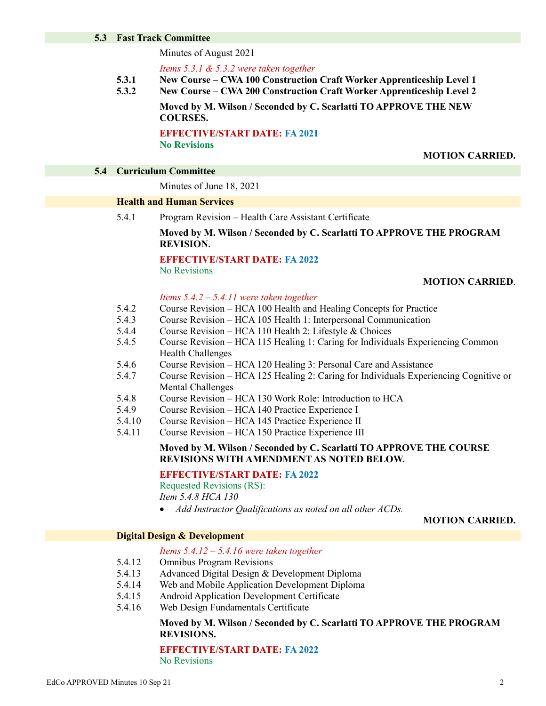#### **5.3 Fast Track Committee**

Minutes of August 2021

*Items 5.3.1 & 5.3.2 were taken together*

- **5.3.1 New Course – CWA 100 Construction Craft Worker Apprenticeship Level 1**
- **5.3.2 New Course – CWA 200 Construction Craft Worker Apprenticeship Level 2**

**Moved by M. Wilson / Seconded by C. Scarlatti TO APPROVE THE NEW COURSES.**

**EFFECTIVE/START DATE: FA 2021 No Revisions**

#### **MOTION CARRIED.**

#### **5.4 Curriculum Committee**

Minutes of June 18, 2021

#### **Health and Human Services**

5.4.1 Program Revision – Health Care Assistant Certificate

# **Moved by M. Wilson / Seconded by C. Scarlatti TO APPROVE THE PROGRAM REVISION.**

#### **EFFECTIVE/START DATE: FA 2022**

No Revisions

#### **MOTION CARRIED**.

#### *Items 5.4.2 – 5.4.11 were taken together*

- 5.4.2 Course Revision – HCA 100 Health and Healing Concepts for Practice
- 5.4.3 Course Revision – HCA 105 Health 1: Interpersonal Communication
- 5.4.4 Course Revision – HCA 110 Health 2: Lifestyle & Choices
- 5.4.5 Course Revision – HCA 115 Healing 1: Caring for Individuals Experiencing Common Health Challenges
- 5.4.6 Course Revision – HCA 120 Healing 3: Personal Care and Assistance
- 5.4.7 Course Revision – HCA 125 Healing 2: Caring for Individuals Experiencing Cognitive or Mental Challenges
- 5.4.8 Course Revision – HCA 130 Work Role: Introduction to HCA
- 5.4.9 Course Revision – HCA 140 Practice Experience I
- 5.4.10 Course Revision – HCA 145 Practice Experience II
- 5.4.11 Course Revision – HCA 150 Practice Experience III

#### **Moved by M. Wilson / Seconded by C. Scarlatti TO APPROVE THE COURSE REVISIONS WITH AMENDMENT AS NOTED BELOW.**

#### **EFFECTIVE/START DATE: FA 2022**

Requested Revisions (RS): *Item 5.4.8 HCA 130*

*Add Instructor Qualifications as noted on all other ACDs.*

#### **MOTION CARRIED.**

#### **Digital Design & Development**

#### *Items 5.4.12 – 5.4.16 were taken together*

- 5.4.12 Omnibus Program Revisions
- 5.4.13 Advanced Digital Design & Development Diploma
- 5.4.14 Web and Mobile Application Development Diploma
- 5.4.15 Android Application Development Certificate
- 5.4.16 Web Design Fundamentals Certificate

#### **Moved by M. Wilson / Seconded by C. Scarlatti TO APPROVE THE PROGRAM REVISIONS.**

**EFFECTIVE/START DATE: FA 2022** No Revisions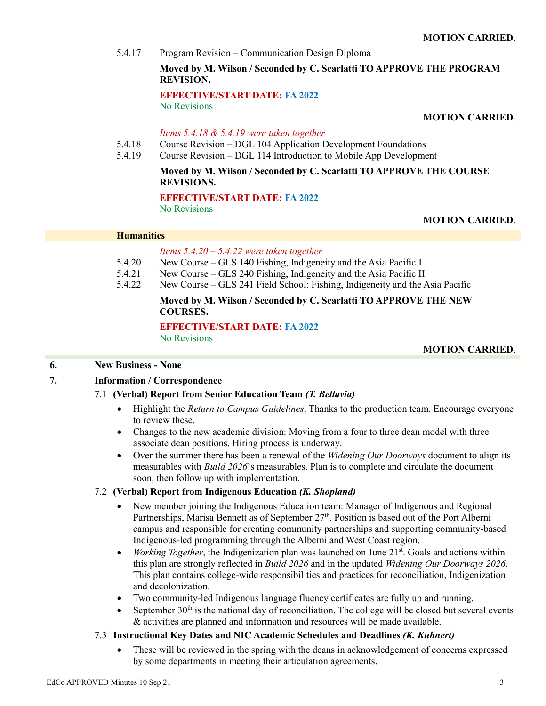5.4.17 Program Revision – Communication Design Diploma

## **Moved by M. Wilson / Seconded by C. Scarlatti TO APPROVE THE PROGRAM REVISION.**

**EFFECTIVE/START DATE: FA 2022** No Revisions

#### **MOTION CARRIED**.

#### *Items 5.4.18 & 5.4.19 were taken together*

- 5.4.18 Course Revision – DGL 104 Application Development Foundations
- 5.4.19 Course Revision – DGL 114 Introduction to Mobile App Development

## **Moved by M. Wilson / Seconded by C. Scarlatti TO APPROVE THE COURSE REVISIONS.**

# **EFFECTIVE/START DATE: FA 2022**

No Revisions

# **MOTION CARRIED**.

#### **Humanities**

## *Items 5.4.20 – 5.4.22 were taken together*

- 5.4.20 New Course – GLS 140 Fishing, Indigeneity and the Asia Pacific I
- 5.4.21 New Course – GLS 240 Fishing, Indigeneity and the Asia Pacific II
- 5.4.22 New Course – GLS 241 Field School: Fishing, Indigeneity and the Asia Pacific

# **Moved by M. Wilson / Seconded by C. Scarlatti TO APPROVE THE NEW COURSES.**

**EFFECTIVE/START DATE: FA 2022** No Revisions

## **MOTION CARRIED**.

## **6. New Business - None**

# **7. Information / Correspondence**

# 7.1 **(Verbal) Report from Senior Education Team** *(T. Bellavia)*

- Highlight the *Return to Campus Guidelines*. Thanks to the production team. Encourage everyone to review these.
- Changes to the new academic division: Moving from a four to three dean model with three associate dean positions. Hiring process is underway.
- Over the summer there has been a renewal of the *Widening Our Doorways* document to align its measurables with *Build 2026*'s measurables. Plan is to complete and circulate the document soon, then follow up with implementation.

## 7.2 **(Verbal) Report from Indigenous Education** *(K. Shopland)*

- New member joining the Indigenous Education team: Manager of Indigenous and Regional Partnerships, Marisa Bennett as of September 27<sup>th</sup>. Position is based out of the Port Alberni campus and responsible for creating community partnerships and supporting community-based Indigenous-led programming through the Alberni and West Coast region.
- *Working Together*, the Indigenization plan was launched on June 21<sup>st</sup>. Goals and actions within this plan are strongly reflected in *Build 2026* and in the updated *Widening Our Doorways 2026*. This plan contains college-wide responsibilities and practices for reconciliation, Indigenization and decolonization.
- Two community-led Indigenous language fluency certificates are fully up and running.
- September  $30<sup>th</sup>$  is the national day of reconciliation. The college will be closed but several events & activities are planned and information and resources will be made available.

## 7.3 **Instructional Key Dates and NIC Academic Schedules and Deadlines** *(K. Kuhnert)*

 These will be reviewed in the spring with the deans in acknowledgement of concerns expressed by some departments in meeting their articulation agreements.